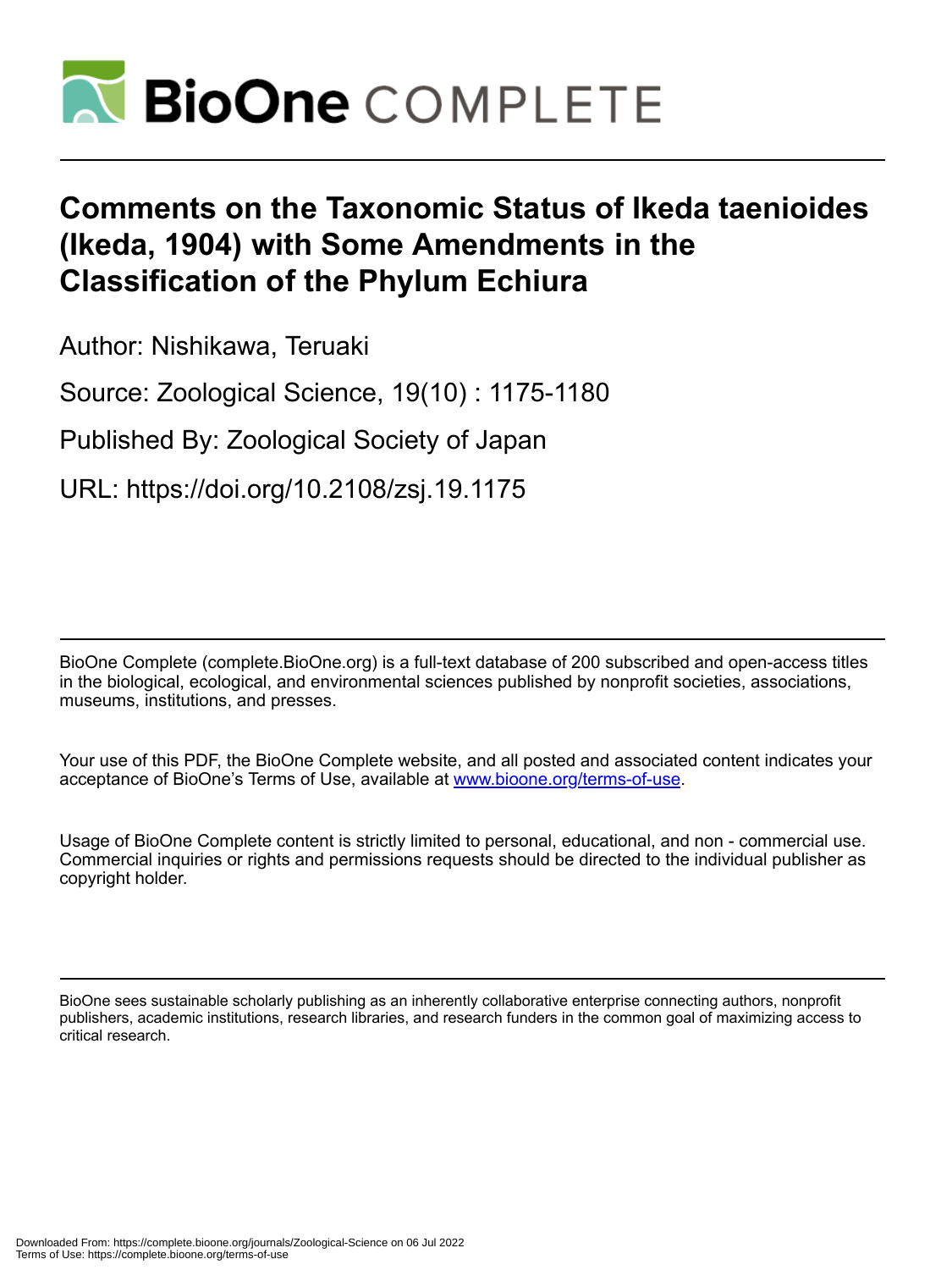

# **Comments on the Taxonomic Status of Ikeda taenioides (Ikeda, 1904) with Some Amendments in the Classification of the Phylum Echiura**

Author: Nishikawa, Teruaki

Source: Zoological Science, 19(10) : 1175-1180

Published By: Zoological Society of Japan

URL: https://doi.org/10.2108/zsj.19.1175

BioOne Complete (complete.BioOne.org) is a full-text database of 200 subscribed and open-access titles in the biological, ecological, and environmental sciences published by nonprofit societies, associations, museums, institutions, and presses.

Your use of this PDF, the BioOne Complete website, and all posted and associated content indicates your acceptance of BioOne's Terms of Use, available at www.bioone.org/terms-of-use.

Usage of BioOne Complete content is strictly limited to personal, educational, and non - commercial use. Commercial inquiries or rights and permissions requests should be directed to the individual publisher as copyright holder.

BioOne sees sustainable scholarly publishing as an inherently collaborative enterprise connecting authors, nonprofit publishers, academic institutions, research libraries, and research funders in the common goal of maximizing access to critical research.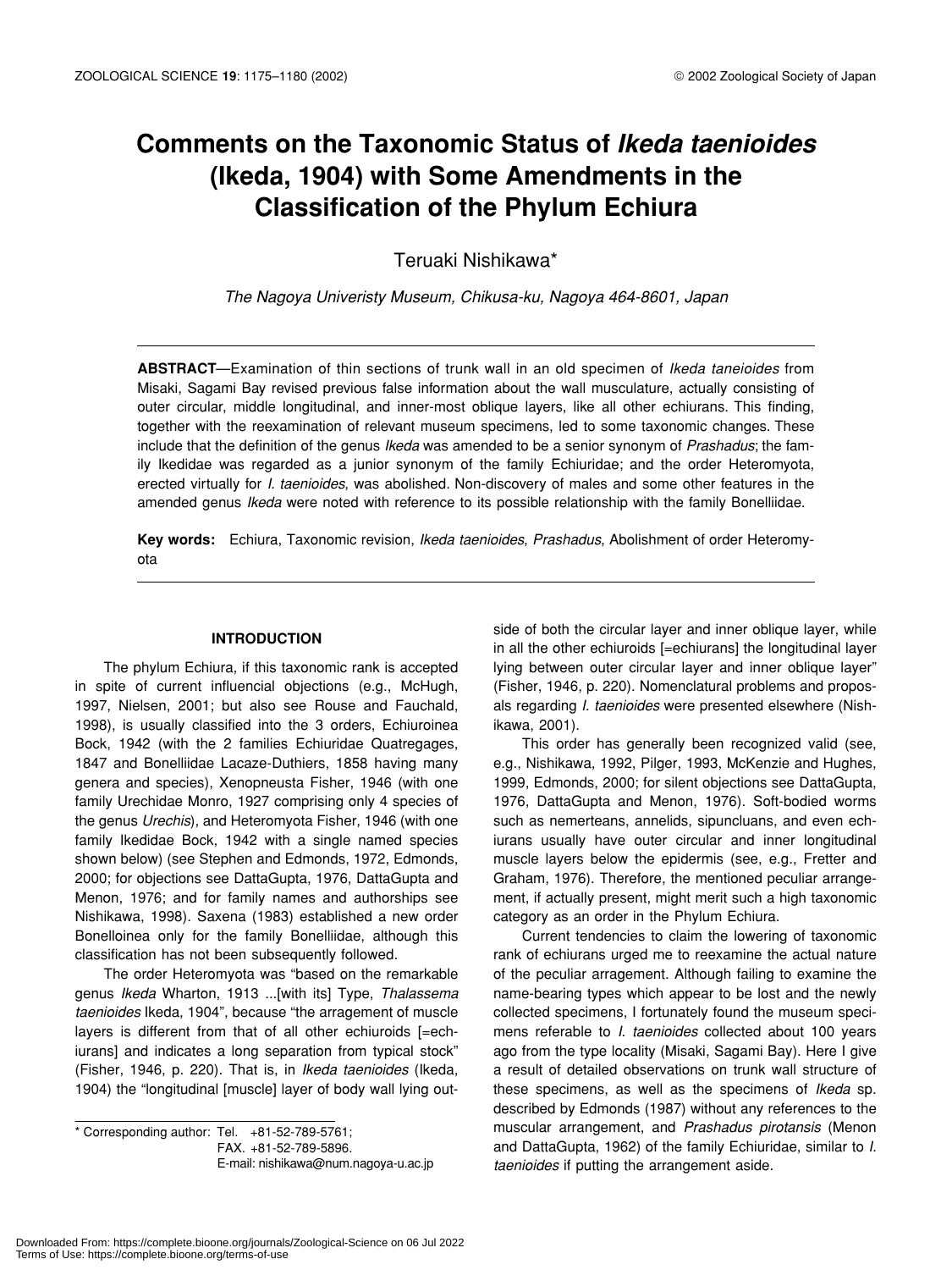# **Comments on the Taxonomic Status of** *Ikeda taenioides* **(Ikeda, 1904) with Some Amendments in the Classification of the Phylum Echiura**

Teruaki Nishikawa\*

*The Nagoya Univeristy Museum, Chikusa-ku, Nagoya 464-8601, Japan*

**ABSTRACT**—Examination of thin sections of trunk wall in an old specimen of *Ikeda taneioides* from Misaki, Sagami Bay revised previous false information about the wall musculature, actually consisting of outer circular, middle longitudinal, and inner-most oblique layers, like all other echiurans. This finding, together with the reexamination of relevant museum specimens, led to some taxonomic changes. These include that the definition of the genus *Ikeda* was amended to be a senior synonym of *Prashadus*; the family Ikedidae was regarded as a junior synonym of the family Echiuridae; and the order Heteromyota, erected virtually for *I. taenioides*, was abolished. Non-discovery of males and some other features in the amended genus *Ikeda* were noted with reference to its possible relationship with the family Bonelliidae.

**Key words:** Echiura, Taxonomic revision, *Ikeda taenioides*, *Prashadus*, Abolishment of order Heteromyota

#### **INTRODUCTION**

The phylum Echiura, if this taxonomic rank is accepted in spite of current influencial objections (e.g., McHugh, 1997, Nielsen, 2001; but also see Rouse and Fauchald, 1998), is usually classified into the 3 orders, Echiuroinea Bock, 1942 (with the 2 families Echiuridae Quatregages, 1847 and Bonelliidae Lacaze-Duthiers, 1858 having many genera and species), Xenopneusta Fisher, 1946 (with one family Urechidae Monro, 1927 comprising only 4 species of the genus *Urechis*), and Heteromyota Fisher, 1946 (with one family Ikedidae Bock, 1942 with a single named species shown below) (see Stephen and Edmonds, 1972, Edmonds, 2000; for objections see DattaGupta, 1976, DattaGupta and Menon, 1976; and for family names and authorships see Nishikawa, 1998). Saxena (1983) established a new order Bonelloinea only for the family Bonelliidae, although this classification has not been subsequently followed.

The order Heteromyota was "based on the remarkable genus *Ikeda* Wharton, 1913 ...[with its] Type, *Thalassema taenioides* Ikeda, 1904", because "the arragement of muscle layers is different from that of all other echiuroids [=echiurans] and indicates a long separation from typical stock" (Fisher, 1946, p. 220). That is, in *Ikeda taenioides* (Ikeda, 1904) the "longitudinal [muscle] layer of body wall lying out-

\* Corresponding author: Tel. +81-52-789-5761; FAX. +81-52-789-5896. E-mail: nishikawa@num.nagoya-u.ac.jp side of both the circular layer and inner oblique layer, while in all the other echiuroids [=echiurans] the longitudinal layer lying between outer circular layer and inner oblique layer" (Fisher, 1946, p. 220). Nomenclatural problems and proposals regarding *I. taenioides* were presented elsewhere (Nishikawa, 2001).

This order has generally been recognized valid (see, e.g., Nishikawa, 1992, Pilger, 1993, McKenzie and Hughes, 1999, Edmonds, 2000; for silent objections see DattaGupta, 1976, DattaGupta and Menon, 1976). Soft-bodied worms such as nemerteans, annelids, sipuncluans, and even echiurans usually have outer circular and inner longitudinal muscle layers below the epidermis (see, e.g., Fretter and Graham, 1976). Therefore, the mentioned peculiar arrangement, if actually present, might merit such a high taxonomic category as an order in the Phylum Echiura.

Current tendencies to claim the lowering of taxonomic rank of echiurans urged me to reexamine the actual nature of the peculiar arragement. Although failing to examine the name-bearing types which appear to be lost and the newly collected specimens, I fortunately found the museum specimens referable to *I. taenioides* collected about 100 years ago from the type locality (Misaki, Sagami Bay). Here I give a result of detailed observations on trunk wall structure of these specimens, as well as the specimens of *Ikeda* sp. described by Edmonds (1987) without any references to the muscular arrangement, and *Prashadus pirotansis* (Menon and DattaGupta, 1962) of the family Echiuridae, similar to *I. taenioides* if putting the arrangement aside.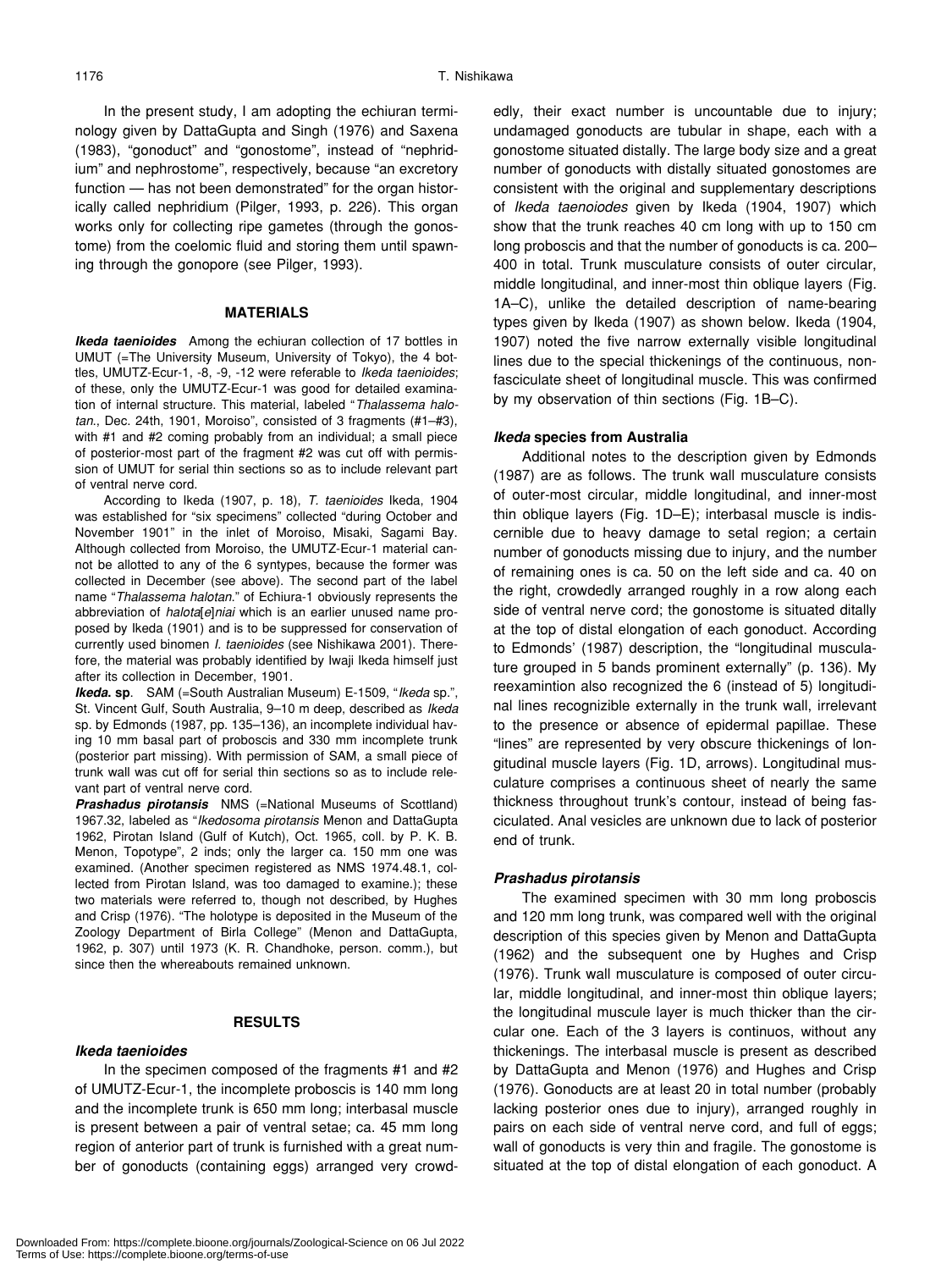In the present study, I am adopting the echiuran terminology given by DattaGupta and Singh (1976) and Saxena (1983), "gonoduct" and "gonostome", instead of "nephridium" and nephrostome", respectively, because "an excretory function — has not been demonstrated" for the organ historically called nephridium (Pilger, 1993, p. 226). This organ works only for collecting ripe gametes (through the gonostome) from the coelomic fluid and storing them until spawning through the gonopore (see Pilger, 1993).

## **MATERIALS**

*Ikeda taenioides* Among the echiuran collection of 17 bottles in UMUT (=The University Museum, University of Tokyo), the 4 bottles, UMUTZ-Ecur-1, -8, -9, -12 were referable to *Ikeda taenioides*; of these, only the UMUTZ-Ecur-1 was good for detailed examination of internal structure. This material, labeled "*Thalassema halotan*., Dec. 24th, 1901, Moroiso", consisted of 3 fragments (#1–#3), with #1 and #2 coming probably from an individual; a small piece of posterior-most part of the fragment #2 was cut off with permission of UMUT for serial thin sections so as to include relevant part of ventral nerve cord.

According to Ikeda (1907, p. 18), *T. taenioides* Ikeda, 1904 was established for "six specimens" collected "during October and November 1901" in the inlet of Moroiso, Misaki, Sagami Bay. Although collected from Moroiso, the UMUTZ-Ecur-1 material cannot be allotted to any of the 6 syntypes, because the former was collected in December (see above). The second part of the label name "*Thalassema halotan*." of Echiura-1 obviously represents the abbreviation of *halota*[*e*]*niai* which is an earlier unused name proposed by Ikeda (1901) and is to be suppressed for conservation of currently used binomen *I. taenioides* (see Nishikawa 2001). Therefore, the material was probably identified by Iwaji Ikeda himself just after its collection in December, 1901.

*Ikeda***. sp**. SAM (=South Australian Museum) E-1509, "*Ikeda* sp.", St. Vincent Gulf, South Australia, 9–10 m deep, described as *Ikeda* sp. by Edmonds (1987, pp. 135–136), an incomplete individual having 10 mm basal part of proboscis and 330 mm incomplete trunk (posterior part missing). With permission of SAM, a small piece of trunk wall was cut off for serial thin sections so as to include relevant part of ventral nerve cord.

*Prashadus pirotansis* NMS (=National Museums of Scottland) 1967.32, labeled as "*Ikedosoma pirotansis* Menon and DattaGupta 1962, Pirotan Island (Gulf of Kutch), Oct. 1965, coll. by P. K. B. Menon, Topotype", 2 inds; only the larger ca. 150 mm one was examined. (Another specimen registered as NMS 1974.48.1, collected from Pirotan Island, was too damaged to examine.); these two materials were referred to, though not described, by Hughes and Crisp (1976). "The holotype is deposited in the Museum of the Zoology Department of Birla College" (Menon and DattaGupta, 1962, p. 307) until 1973 (K. R. Chandhoke, person. comm.), but since then the whereabouts remained unknown.

# **RESULTS**

# *Ikeda taenioides*

In the specimen composed of the fragments #1 and #2 of UMUTZ-Ecur-1, the incomplete proboscis is 140 mm long and the incomplete trunk is 650 mm long; interbasal muscle is present between a pair of ventral setae; ca. 45 mm long region of anterior part of trunk is furnished with a great number of gonoducts (containing eggs) arranged very crowdedly, their exact number is uncountable due to injury; undamaged gonoducts are tubular in shape, each with a gonostome situated distally. The large body size and a great number of gonoducts with distally situated gonostomes are consistent with the original and supplementary descriptions of *Ikeda taenoiodes* given by Ikeda (1904, 1907) which show that the trunk reaches 40 cm long with up to 150 cm long proboscis and that the number of gonoducts is ca. 200– 400 in total. Trunk musculature consists of outer circular, middle longitudinal, and inner-most thin oblique layers (Fig. 1A–C), unlike the detailed description of name-bearing types given by Ikeda (1907) as shown below. Ikeda (1904, 1907) noted the five narrow externally visible longitudinal lines due to the special thickenings of the continuous, nonfasciculate sheet of longitudinal muscle. This was confirmed by my observation of thin sections (Fig. 1B–C).

#### *Ikeda* **species from Australia**

Additional notes to the description given by Edmonds (1987) are as follows. The trunk wall musculature consists of outer-most circular, middle longitudinal, and inner-most thin oblique layers (Fig. 1D–E); interbasal muscle is indiscernible due to heavy damage to setal region; a certain number of gonoducts missing due to injury, and the number of remaining ones is ca. 50 on the left side and ca. 40 on the right, crowdedly arranged roughly in a row along each side of ventral nerve cord; the gonostome is situated ditally at the top of distal elongation of each gonoduct. According to Edmonds' (1987) description, the "longitudinal musculature grouped in 5 bands prominent externally" (p. 136). My reexamintion also recognized the 6 (instead of 5) longitudinal lines recognizible externally in the trunk wall, irrelevant to the presence or absence of epidermal papillae. These "lines" are represented by very obscure thickenings of longitudinal muscle layers (Fig. 1D, arrows). Longitudinal musculature comprises a continuous sheet of nearly the same thickness throughout trunk's contour, instead of being fasciculated. Anal vesicles are unknown due to lack of posterior end of trunk.

# *Prashadus pirotansis*

The examined specimen with 30 mm long proboscis and 120 mm long trunk, was compared well with the original description of this species given by Menon and DattaGupta (1962) and the subsequent one by Hughes and Crisp (1976). Trunk wall musculature is composed of outer circular, middle longitudinal, and inner-most thin oblique layers; the longitudinal muscule layer is much thicker than the circular one. Each of the 3 layers is continuos, without any thickenings. The interbasal muscle is present as described by DattaGupta and Menon (1976) and Hughes and Crisp (1976). Gonoducts are at least 20 in total number (probably lacking posterior ones due to injury), arranged roughly in pairs on each side of ventral nerve cord, and full of eggs; wall of gonoducts is very thin and fragile. The gonostome is situated at the top of distal elongation of each gonoduct. A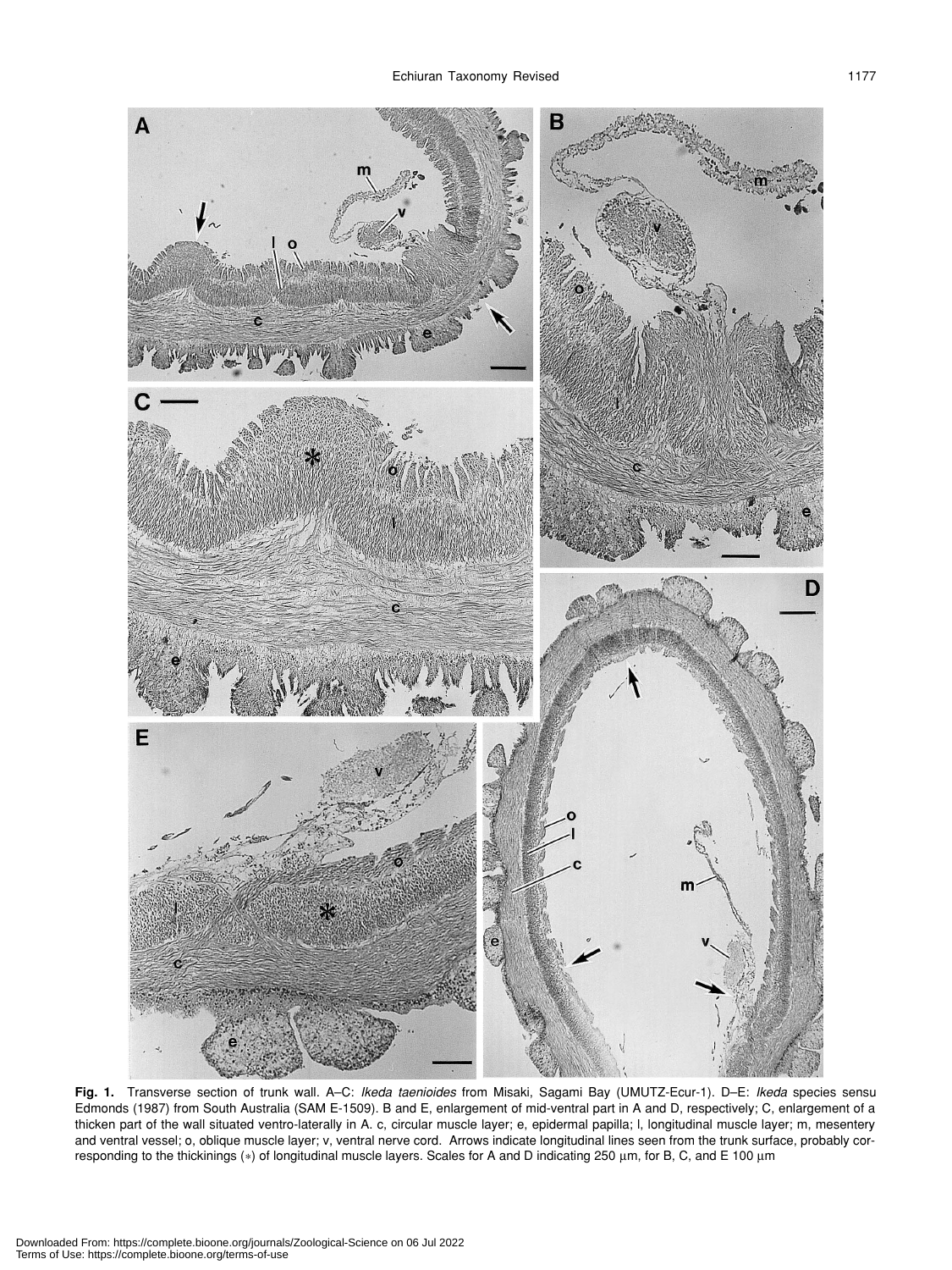

**Fig. 1.** Transverse section of trunk wall. A–C: *Ikeda taenioides* from Misaki, Sagami Bay (UMUTZ-Ecur-1). D–E: *Ikeda* species sensu Edmonds (1987) from South Australia (SAM E-1509). B and E, enlargement of mid-ventral part in A and D, respectively; C, enlargement of a thicken part of the wall situated ventro-laterally in A. c, circular muscle layer; e, epidermal papilla; l, longitudinal muscle layer; m, mesentery and ventral vessel; o, oblique muscle layer; v, ventral nerve cord. Arrows indicate longitudinal lines seen from the trunk surface, probably corresponding to the thickinings (\*) of longitudinal muscle layers. Scales for A and D indicating 250 µm, for B, C, and E 100 µm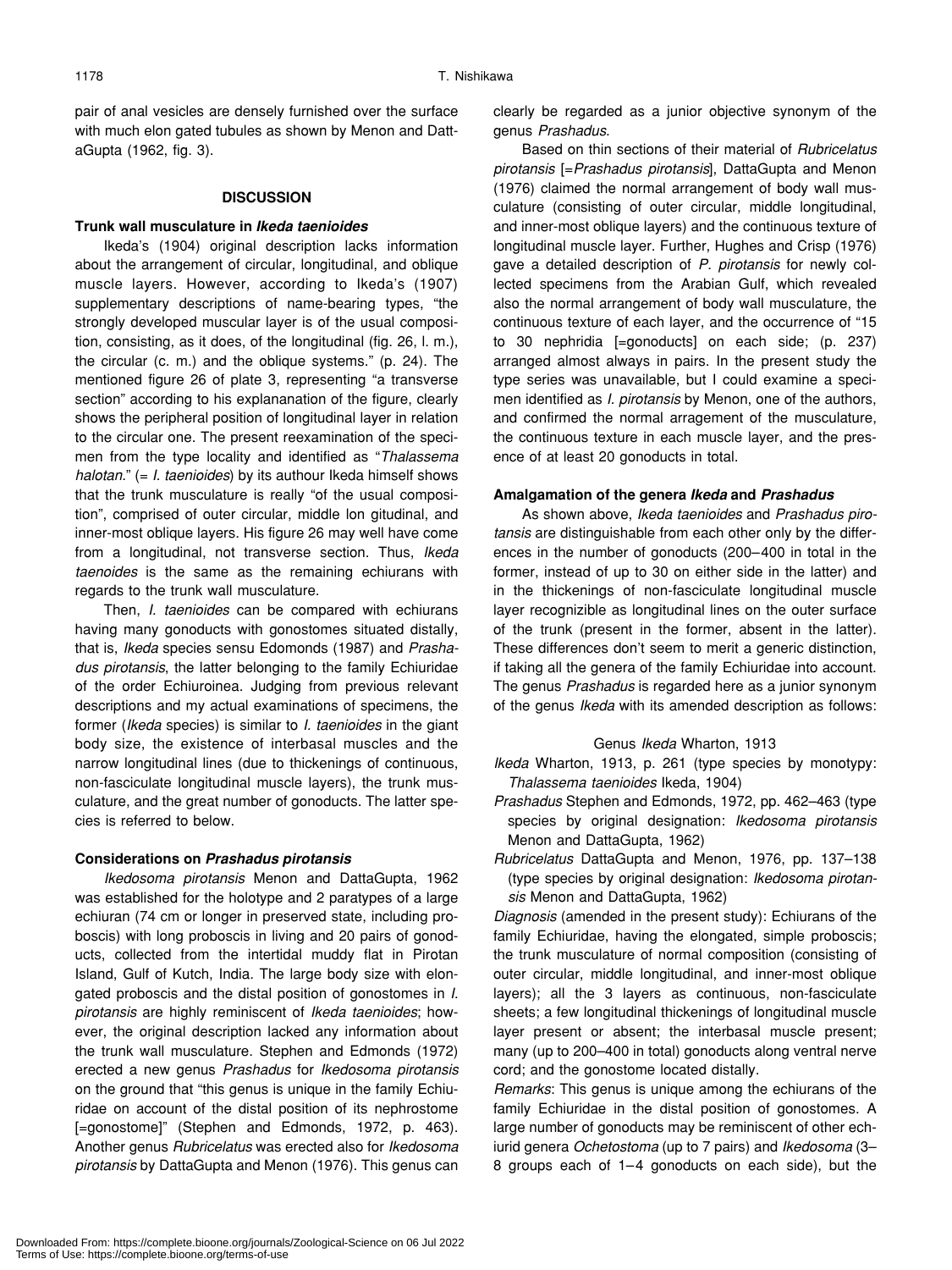pair of anal vesicles are densely furnished over the surface with much elon gated tubules as shown by Menon and DattaGupta (1962, fig. 3).

# **DISCUSSION**

# **Trunk wall musculature in** *Ikeda taenioides*

Ikeda's (1904) original description lacks information about the arrangement of circular, longitudinal, and oblique muscle layers. However, according to Ikeda's (1907) supplementary descriptions of name-bearing types, "the strongly developed muscular layer is of the usual composition, consisting, as it does, of the longitudinal (fig. 26, l. m.), the circular (c. m.) and the oblique systems." (p. 24). The mentioned figure 26 of plate 3, representing "a transverse section" according to his explananation of the figure, clearly shows the peripheral position of longitudinal layer in relation to the circular one. The present reexamination of the specimen from the type locality and identified as "*Thalassema halotan*." (= *I. taenioides*) by its authour Ikeda himself shows that the trunk musculature is really "of the usual composition", comprised of outer circular, middle lon gitudinal, and inner-most oblique layers. His figure 26 may well have come from a longitudinal, not transverse section. Thus, *Ikeda taenoides* is the same as the remaining echiurans with regards to the trunk wall musculature.

Then, *I. taenioides* can be compared with echiurans having many gonoducts with gonostomes situated distally, that is, *Ikeda* species sensu Edomonds (1987) and *Prashadus pirotansis*, the latter belonging to the family Echiuridae of the order Echiuroinea. Judging from previous relevant descriptions and my actual examinations of specimens, the former (*Ikeda* species) is similar to *I. taenioides* in the giant body size, the existence of interbasal muscles and the narrow longitudinal lines (due to thickenings of continuous, non-fasciculate longitudinal muscle layers), the trunk musculature, and the great number of gonoducts. The latter species is referred to below.

# **Considerations on** *Prashadus pirotansis*

*Ikedosoma pirotansis* Menon and DattaGupta, 1962 was established for the holotype and 2 paratypes of a large echiuran (74 cm or longer in preserved state, including proboscis) with long proboscis in living and 20 pairs of gonoducts, collected from the intertidal muddy flat in Pirotan Island, Gulf of Kutch, India. The large body size with elongated proboscis and the distal position of gonostomes in *I. pirotansis* are highly reminiscent of *Ikeda taenioides*; however, the original description lacked any information about the trunk wall musculature. Stephen and Edmonds (1972) erected a new genus *Prashadus* for *Ikedosoma pirotansis* on the ground that "this genus is unique in the family Echiuridae on account of the distal position of its nephrostome [=gonostome]" (Stephen and Edmonds, 1972, p. 463). Another genus *Rubricelatus* was erected also for *Ikedosoma pirotansis* by DattaGupta and Menon (1976). This genus can

clearly be regarded as a junior objective synonym of the genus *Prashadus*.

Based on thin sections of their material of *Rubricelatus pirotansis* [=*Prashadus pirotansis*], DattaGupta and Menon (1976) claimed the normal arrangement of body wall musculature (consisting of outer circular, middle longitudinal, and inner-most oblique layers) and the continuous texture of longitudinal muscle layer. Further, Hughes and Crisp (1976) gave a detailed description of *P. pirotansis* for newly collected specimens from the Arabian Gulf, which revealed also the normal arrangement of body wall musculature, the continuous texture of each layer, and the occurrence of "15 to 30 nephridia [=gonoducts] on each side; (p. 237) arranged almost always in pairs. In the present study the type series was unavailable, but I could examine a specimen identified as *I. pirotansis* by Menon, one of the authors, and confirmed the normal arragement of the musculature, the continuous texture in each muscle layer, and the presence of at least 20 gonoducts in total.

# **Amalgamation of the genera** *Ikeda* **and** *Prashadus*

As shown above, *Ikeda taenioides* and *Prashadus pirotansis* are distinguishable from each other only by the differences in the number of gonoducts (200–400 in total in the former, instead of up to 30 on either side in the latter) and in the thickenings of non-fasciculate longitudinal muscle layer recognizible as longitudinal lines on the outer surface of the trunk (present in the former, absent in the latter). These differences don't seem to merit a generic distinction, if taking all the genera of the family Echiuridae into account. The genus *Prashadus* is regarded here as a junior synonym of the genus *Ikeda* with its amended description as follows:

## Genus *Ikeda* Wharton, 1913

- *Ikeda* Wharton, 1913, p. 261 (type species by monotypy: *Thalassema taenioides* Ikeda, 1904)
- *Prashadus* Stephen and Edmonds, 1972, pp. 462–463 (type species by original designation: *Ikedosoma pirotansis* Menon and DattaGupta, 1962)
- *Rubricelatus* DattaGupta and Menon, 1976, pp. 137–138 (type species by original designation: *Ikedosoma pirotansis* Menon and DattaGupta, 1962)

*Diagnosis* (amended in the present study): Echiurans of the family Echiuridae, having the elongated, simple proboscis; the trunk musculature of normal composition (consisting of outer circular, middle longitudinal, and inner-most oblique layers); all the 3 layers as continuous, non-fasciculate sheets; a few longitudinal thickenings of longitudinal muscle layer present or absent; the interbasal muscle present; many (up to 200–400 in total) gonoducts along ventral nerve cord; and the gonostome located distally.

*Remarks*: This genus is unique among the echiurans of the family Echiuridae in the distal position of gonostomes. A large number of gonoducts may be reminiscent of other echiurid genera *Ochetostoma* (up to 7 pairs) and *Ikedosoma* (3– 8 groups each of 1–4 gonoducts on each side), but the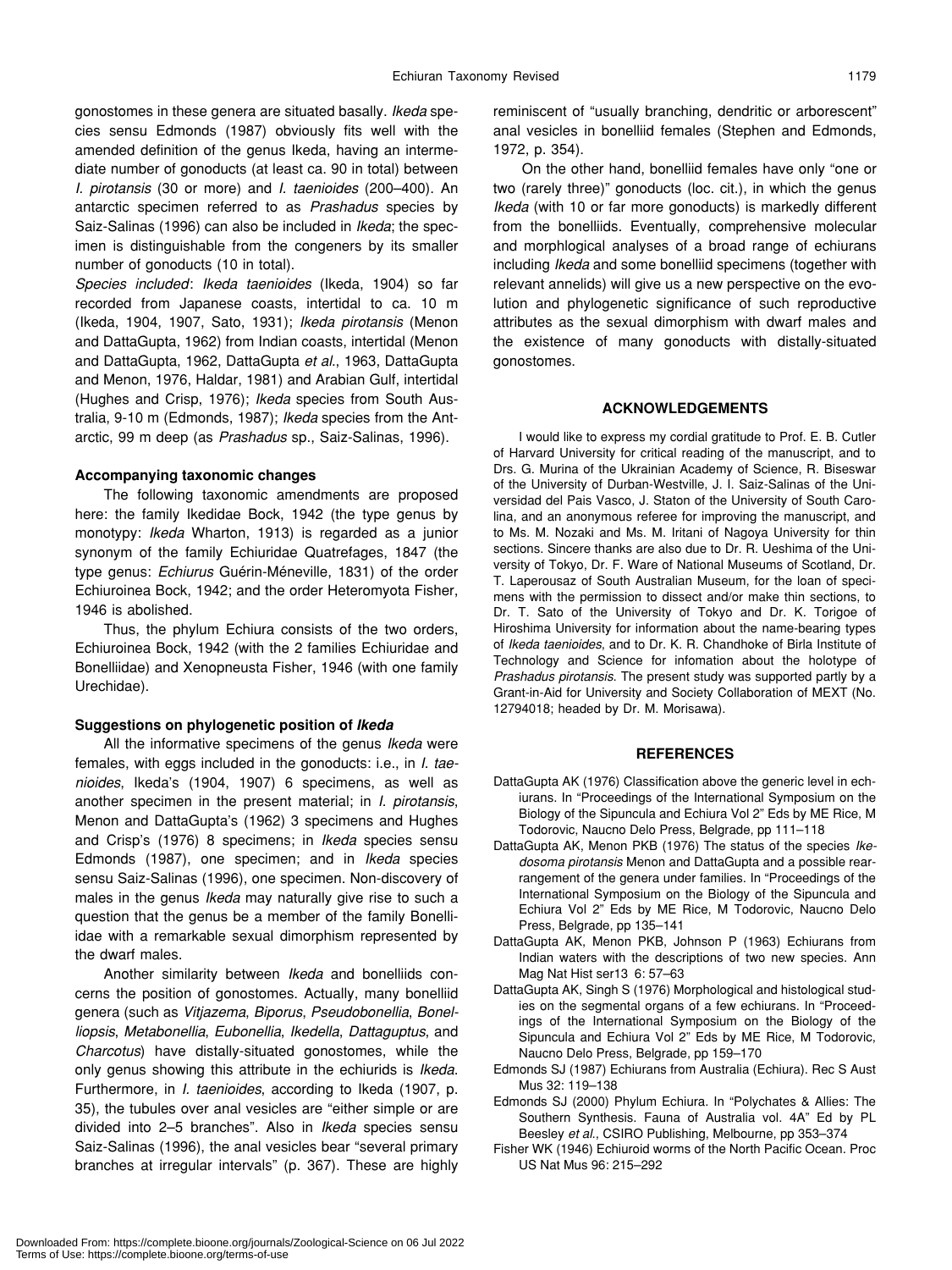gonostomes in these genera are situated basally. *Ikeda* species sensu Edmonds (1987) obviously fits well with the amended definition of the genus Ikeda, having an intermediate number of gonoducts (at least ca. 90 in total) between *I. pirotansis* (30 or more) and *I. taenioides* (200–400). An antarctic specimen referred to as *Prashadus* species by Saiz-Salinas (1996) can also be included in *Ikeda*; the specimen is distinguishable from the congeners by its smaller number of gonoducts (10 in total).

*Species included*: *Ikeda taenioides* (Ikeda, 1904) so far recorded from Japanese coasts, intertidal to ca. 10 m (Ikeda, 1904, 1907, Sato, 1931); *Ikeda pirotansis* (Menon and DattaGupta, 1962) from Indian coasts, intertidal (Menon and DattaGupta, 1962, DattaGupta *et al*., 1963, DattaGupta and Menon, 1976, Haldar, 1981) and Arabian Gulf, intertidal (Hughes and Crisp, 1976); *Ikeda* species from South Australia, 9-10 m (Edmonds, 1987); *Ikeda* species from the Antarctic, 99 m deep (as *Prashadus* sp., Saiz-Salinas, 1996).

# **Accompanying taxonomic changes**

The following taxonomic amendments are proposed here: the family Ikedidae Bock, 1942 (the type genus by monotypy: *Ikeda* Wharton, 1913) is regarded as a junior synonym of the family Echiuridae Quatrefages, 1847 (the type genus: *Echiurus* Guérin-Méneville, 1831) of the order Echiuroinea Bock, 1942; and the order Heteromyota Fisher, 1946 is abolished.

Thus, the phylum Echiura consists of the two orders, Echiuroinea Bock, 1942 (with the 2 families Echiuridae and Bonelliidae) and Xenopneusta Fisher, 1946 (with one family Urechidae).

# **Suggestions on phylogenetic position of** *Ikeda*

All the informative specimens of the genus *Ikeda* were females, with eggs included in the gonoducts: i.e., in *I. taenioides*, Ikeda's (1904, 1907) 6 specimens, as well as another specimen in the present material; in *I. pirotansis*, Menon and DattaGupta's (1962) 3 specimens and Hughes and Crisp's (1976) 8 specimens; in *Ikeda* species sensu Edmonds (1987), one specimen; and in *Ikeda* species sensu Saiz-Salinas (1996), one specimen. Non-discovery of males in the genus *Ikeda* may naturally give rise to such a question that the genus be a member of the family Bonelliidae with a remarkable sexual dimorphism represented by the dwarf males.

Another similarity between *Ikeda* and bonelliids concerns the position of gonostomes. Actually, many bonelliid genera (such as *Vitjazema*, *Biporus*, *Pseudobonellia*, *Bonelliopsis*, *Metabonellia*, *Eubonellia*, *Ikedella*, *Dattaguptus*, and *Charcotus*) have distally-situated gonostomes, while the only genus showing this attribute in the echiurids is *Ikeda*. Furthermore, in *I. taenioides*, according to Ikeda (1907, p. 35), the tubules over anal vesicles are "either simple or are divided into 2–5 branches". Also in *Ikeda* species sensu Saiz-Salinas (1996), the anal vesicles bear "several primary branches at irregular intervals" (p. 367). These are highly

reminiscent of "usually branching, dendritic or arborescent" anal vesicles in bonelliid females (Stephen and Edmonds, 1972, p. 354).

On the other hand, bonelliid females have only "one or two (rarely three)" gonoducts (loc. cit.), in which the genus *Ikeda* (with 10 or far more gonoducts) is markedly different from the bonelliids. Eventually, comprehensive molecular and morphlogical analyses of a broad range of echiurans including *Ikeda* and some bonelliid specimens (together with relevant annelids) will give us a new perspective on the evolution and phylogenetic significance of such reproductive attributes as the sexual dimorphism with dwarf males and the existence of many gonoducts with distally-situated gonostomes.

# **ACKNOWLEDGEMENTS**

I would like to express my cordial gratitude to Prof. E. B. Cutler of Harvard University for critical reading of the manuscript, and to Drs. G. Murina of the Ukrainian Academy of Science, R. Biseswar of the University of Durban-Westville, J. I. Saiz-Salinas of the Universidad del Pais Vasco, J. Staton of the University of South Carolina, and an anonymous referee for improving the manuscript, and to Ms. M. Nozaki and Ms. M. Iritani of Nagoya University for thin sections. Sincere thanks are also due to Dr. R. Ueshima of the University of Tokyo, Dr. F. Ware of National Museums of Scotland, Dr. T. Laperousaz of South Australian Museum, for the loan of specimens with the permission to dissect and/or make thin sections, to Dr. T. Sato of the University of Tokyo and Dr. K. Torigoe of Hiroshima University for information about the name-bearing types of *Ikeda taenioides*, and to Dr. K. R. Chandhoke of Birla Institute of Technology and Science for infomation about the holotype of *Prashadus pirotansis*. The present study was supported partly by a Grant-in-Aid for University and Society Collaboration of MEXT (No. 12794018; headed by Dr. M. Morisawa).

# **REFERENCES**

- DattaGupta AK (1976) Classification above the generic level in echiurans. In "Proceedings of the International Symposium on the Biology of the Sipuncula and Echiura Vol 2" Eds by ME Rice, M Todorovic, Naucno Delo Press, Belgrade, pp 111–118
- DattaGupta AK, Menon PKB (1976) The status of the species *Ikedosoma pirotansis* Menon and DattaGupta and a possible rearrangement of the genera under families. In "Proceedings of the International Symposium on the Biology of the Sipuncula and Echiura Vol 2" Eds by ME Rice, M Todorovic, Naucno Delo Press, Belgrade, pp 135–141
- DattaGupta AK, Menon PKB, Johnson P (1963) Echiurans from Indian waters with the descriptions of two new species. Ann Mag Nat Hist ser13 6: 57–63
- DattaGupta AK, Singh S (1976) Morphological and histological studies on the segmental organs of a few echiurans. In "Proceedings of the International Symposium on the Biology of the Sipuncula and Echiura Vol 2" Eds by ME Rice, M Todorovic, Naucno Delo Press, Belgrade, pp 159–170
- Edmonds SJ (1987) Echiurans from Australia (Echiura). Rec S Aust Mus 32: 119–138
- Edmonds SJ (2000) Phylum Echiura. In "Polychates & Allies: The Southern Synthesis. Fauna of Australia vol. 4A" Ed by PL Beesley *et al*., CSIRO Publishing, Melbourne, pp 353–374
- Fisher WK (1946) Echiuroid worms of the North Pacific Ocean. Proc US Nat Mus 96: 215–292